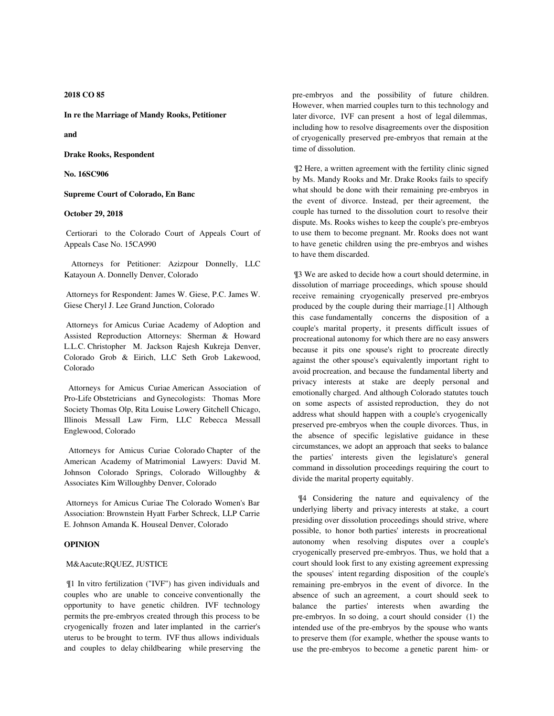**2018 CO 85**

**In re the Marriage of Mandy Rooks, Petitioner**

**and**

**Drake Rooks, Respondent**

**No. 16SC906**

**Supreme Court of Colorado, En Banc**

### **October 29, 2018**

 Certiorari to the Colorado Court of Appeals Court of Appeals Case No. 15CA990

 Attorneys for Petitioner: Azizpour Donnelly, LLC Katayoun A. Donnelly Denver, Colorado

 Attorneys for Respondent: James W. Giese, P.C. James W. Giese Cheryl J. Lee Grand Junction, Colorado

 Attorneys for Amicus Curiae Academy of Adoption and Assisted Reproduction Attorneys: Sherman & Howard L.L.C. Christopher M. Jackson Rajesh Kukreja Denver, Colorado Grob & Eirich, LLC Seth Grob Lakewood, Colorado

 Attorneys for Amicus Curiae American Association of Pro-Life Obstetricians and Gynecologists: Thomas More Society Thomas Olp, Rita Louise Lowery Gitchell Chicago, Illinois Messall Law Firm, LLC Rebecca Messall Englewood, Colorado

 Attorneys for Amicus Curiae Colorado Chapter of the American Academy of Matrimonial Lawyers: David M. Johnson Colorado Springs, Colorado Willoughby & Associates Kim Willoughby Denver, Colorado

 Attorneys for Amicus Curiae The Colorado Women's Bar Association: Brownstein Hyatt Farber Schreck, LLP Carrie E. Johnson Amanda K. Houseal Denver, Colorado

# **OPINION**

### MÁ RQUEZ, JUSTICE

 ¶1 In vitro fertilization ("IVF") has given individuals and couples who are unable to conceive conventionally the opportunity to have genetic children. IVF technology permits the pre-embryos created through this process to be cryogenically frozen and later implanted in the carrier's uterus to be brought to term. IVF thus allows individuals and couples to delay childbearing while preserving the pre-embryos and the possibility of future children. However, when married couples turn to this technology and later divorce, IVF can present a host of legal dilemmas, including how to resolve disagreements over the disposition of cryogenically preserved pre-embryos that remain at the time of dissolution.

 ¶2 Here, a written agreement with the fertility clinic signed by Ms. Mandy Rooks and Mr. Drake Rooks fails to specify what should be done with their remaining pre-embryos in the event of divorce. Instead, per their agreement, the couple has turned to the dissolution court to resolve their dispute. Ms. Rooks wishes to keep the couple's pre-embryos to use them to become pregnant. Mr. Rooks does not want to have genetic children using the pre-embryos and wishes to have them discarded.

 ¶3 We are asked to decide how a court should determine, in dissolution of marriage proceedings, which spouse should receive remaining cryogenically preserved pre-embryos produced by the couple during their marriage.[1] Although this case fundamentally concerns the disposition of a couple's marital property, it presents difficult issues of procreational autonomy for which there are no easy answers because it pits one spouse's right to procreate directly against the other spouse's equivalently important right to avoid procreation, and because the fundamental liberty and privacy interests at stake are deeply personal and emotionally charged. And although Colorado statutes touch on some aspects of assisted reproduction, they do not address what should happen with a couple's cryogenically preserved pre-embryos when the couple divorces. Thus, in the absence of specific legislative guidance in these circumstances, we adopt an approach that seeks to balance the parties' interests given the legislature's general command in dissolution proceedings requiring the court to divide the marital property equitably.

 ¶4 Considering the nature and equivalency of the underlying liberty and privacy interests at stake, a court presiding over dissolution proceedings should strive, where possible, to honor both parties' interests in procreational autonomy when resolving disputes over a couple's cryogenically preserved pre-embryos. Thus, we hold that a court should look first to any existing agreement expressing the spouses' intent regarding disposition of the couple's remaining pre-embryos in the event of divorce. In the absence of such an agreement, a court should seek to balance the parties' interests when awarding the pre-embryos. In so doing, a court should consider (1) the intended use of the pre-embryos by the spouse who wants to preserve them (for example, whether the spouse wants to use the pre-embryos to become a genetic parent him- or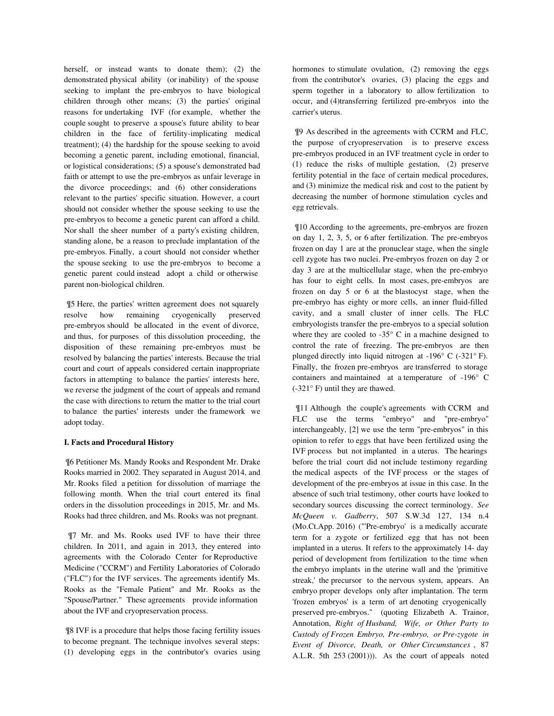herself, or instead wants to donate them); (2) the demonstrated physical ability (or inability) of the spouse seeking to implant the pre-embryos to have biological children through other means; (3) the parties' original reasons for undertaking IVF (for example, whether the couple sought to preserve a spouse's future ability to bear children in the face of fertility-implicating medical treatment); (4) the hardship for the spouse seeking to avoid becoming a genetic parent, including emotional, financial, or logistical considerations; (5) a spouse's demonstrated bad faith or attempt to use the pre-embryos as unfair leverage in the divorce proceedings; and (6) other considerations relevant to the parties' specific situation. However, a court should not consider whether the spouse seeking to use the pre-embryos to become a genetic parent can afford a child. Nor shall the sheer number of a party's existing children, standing alone, be a reason to preclude implantation of the pre-embryos. Finally, a court should not consider whether the spouse seeking to use the pre-embryos to become a genetic parent could instead adopt a child or otherwise parent non-biological children.

 ¶5 Here, the parties' written agreement does not squarely resolve how remaining cryogenically preserved pre-embryos should be allocated in the event of divorce, and thus, for purposes of this dissolution proceeding, the disposition of these remaining pre-embryos must be resolved by balancing the parties' interests. Because the trial court and court of appeals considered certain inappropriate factors in attempting to balance the parties' interests here, we reverse the judgment of the court of appeals and remand the case with directions to return the matter to the trial court to balance the parties' interests under the framework we adopt today.

### **I. Facts and Procedural History**

 ¶6 Petitioner Ms. Mandy Rooks and Respondent Mr. Drake Rooks married in 2002. They separated in August 2014, and Mr. Rooks filed a petition for dissolution of marriage the following month. When the trial court entered its final orders in the dissolution proceedings in 2015, Mr. and Ms. Rooks had three children, and Ms. Rooks was not pregnant.

 ¶7 Mr. and Ms. Rooks used IVF to have their three children. In 2011, and again in 2013, they entered into agreements with the Colorado Center for Reproductive Medicine ("CCRM") and Fertility Laboratories of Colorado ("FLC") for the IVF services. The agreements identify Ms. Rooks as the "Female Patient" and Mr. Rooks as the "Spouse/Partner." These agreements provide information about the IVF and cryopreservation process.

 ¶8 IVF is a procedure that helps those facing fertility issues to become pregnant. The technique involves several steps: (1) developing eggs in the contributor's ovaries using hormones to stimulate ovulation, (2) removing the eggs from the contributor's ovaries, (3) placing the eggs and sperm together in a laboratory to allow fertilization to occur, and (4)transferring fertilized pre-embryos into the carrier's uterus.

 ¶9 As described in the agreements with CCRM and FLC, the purpose of cryopreservation is to preserve excess pre-embryos produced in an IVF treatment cycle in order to (1) reduce the risks of multiple gestation, (2) preserve fertility potential in the face of certain medical procedures, and (3) minimize the medical risk and cost to the patient by decreasing the number of hormone stimulation cycles and egg retrievals.

 ¶10 According to the agreements, pre-embryos are frozen on day 1, 2, 3, 5, or 6 after fertilization. The pre-embryos frozen on day 1 are at the pronuclear stage, when the single cell zygote has two nuclei. Pre-embryos frozen on day 2 or day 3 are at the multicellular stage, when the pre-embryo has four to eight cells. In most cases, pre-embryos are frozen on day 5 or 6 at the blastocyst stage, when the pre-embryo has eighty or more cells, an inner fluid-filled cavity, and a small cluster of inner cells. The FLC embryologists transfer the pre-embryos to a special solution where they are cooled to -35° C in a machine designed to control the rate of freezing. The pre-embryos are then plunged directly into liquid nitrogen at -196° C (-321° F). Finally, the frozen pre-embryos are transferred to storage containers and maintained at a temperature of -196° C (-321° F) until they are thawed.

 ¶11 Although the couple's agreements with CCRM and FLC use the terms "embryo" and "pre-embryo" interchangeably, [2] we use the term "pre-embryos" in this opinion to refer to eggs that have been fertilized using the IVF process but not implanted in a uterus. The hearings before the trial court did not include testimony regarding the medical aspects of the IVF process or the stages of development of the pre-embryos at issue in this case. In the absence of such trial testimony, other courts have looked to secondary sources discussing the correct terminology. *See McQueen v. Gadberry*, 507 S.W.3d 127, 134 n.4 (Mo.Ct.App. 2016) ("'Pre-embryo' is a medically accurate term for a zygote or fertilized egg that has not been implanted in a uterus. It refers to the approximately 14- day period of development from fertilization to the time when the embryo implants in the uterine wall and the 'primitive streak,' the precursor to the nervous system, appears. An embryo proper develops only after implantation. The term 'frozen embryos' is a term of art denoting cryogenically preserved pre-embryos." (quoting Elizabeth A. Trainor, Annotation, *Right of Husband, Wife, or Other Party to Custody of Frozen Embryo, Pre-embryo, or Pre-zygote in Event of Divorce, Death, or Other Circumstances* , 87 A.L.R. 5th 253 (2001))). As the court of appeals noted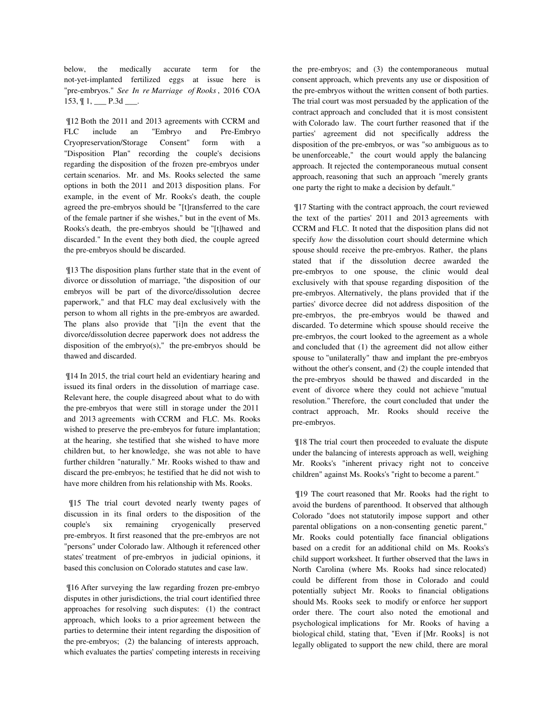below, the medically accurate term for the not-yet-implanted fertilized eggs at issue here is "pre-embryos." *See In re Marriage of Rooks* , 2016 COA  $153, \frac{1}{1}, \underline{\hspace{1cm}} P.3d \underline{\hspace{1cm}}.$ 

 ¶12 Both the 2011 and 2013 agreements with CCRM and FLC include an "Embryo and Pre-Embryo Cryopreservation/Storage Consent" form with a "Disposition Plan" recording the couple's decisions regarding the disposition of the frozen pre-embryos under certain scenarios. Mr. and Ms. Rooks selected the same options in both the 2011 and 2013 disposition plans. For example, in the event of Mr. Rooks's death, the couple agreed the pre-embryos should be "[t]ransferred to the care of the female partner if she wishes," but in the event of Ms. Rooks's death, the pre-embryos should be "[t]hawed and discarded." In the event they both died, the couple agreed the pre-embryos should be discarded.

 ¶13 The disposition plans further state that in the event of divorce or dissolution of marriage, "the disposition of our embryos will be part of the divorce/dissolution decree paperwork," and that FLC may deal exclusively with the person to whom all rights in the pre-embryos are awarded. The plans also provide that "[i]n the event that the divorce/dissolution decree paperwork does not address the disposition of the embryo(s)," the pre-embryos should be thawed and discarded.

 ¶14 In 2015, the trial court held an evidentiary hearing and issued its final orders in the dissolution of marriage case. Relevant here, the couple disagreed about what to do with the pre-embryos that were still in storage under the 2011 and 2013 agreements with CCRM and FLC. Ms. Rooks wished to preserve the pre-embryos for future implantation; at the hearing, she testified that she wished to have more children but, to her knowledge, she was not able to have further children "naturally." Mr. Rooks wished to thaw and discard the pre-embryos; he testified that he did not wish to have more children from his relationship with Ms. Rooks.

 ¶15 The trial court devoted nearly twenty pages of discussion in its final orders to the disposition of the couple's six remaining cryogenically preserved pre-embryos. It first reasoned that the pre-embryos are not "persons" under Colorado law. Although it referenced other states' treatment of pre-embryos in judicial opinions, it based this conclusion on Colorado statutes and case law.

 ¶16 After surveying the law regarding frozen pre-embryo disputes in other jurisdictions, the trial court identified three approaches for resolving such disputes: (1) the contract approach, which looks to a prior agreement between the parties to determine their intent regarding the disposition of the pre-embryos; (2) the balancing of interests approach, which evaluates the parties' competing interests in receiving the pre-embryos; and (3) the contemporaneous mutual consent approach, which prevents any use or disposition of the pre-embryos without the written consent of both parties. The trial court was most persuaded by the application of the contract approach and concluded that it is most consistent with Colorado law. The court further reasoned that if the parties' agreement did not specifically address the disposition of the pre-embryos, or was "so ambiguous as to be unenforceable," the court would apply the balancing approach. It rejected the contemporaneous mutual consent approach, reasoning that such an approach "merely grants one party the right to make a decision by default."

 ¶17 Starting with the contract approach, the court reviewed the text of the parties' 2011 and 2013 agreements with CCRM and FLC. It noted that the disposition plans did not specify *how* the dissolution court should determine which spouse should receive the pre-embryos. Rather, the plans stated that if the dissolution decree awarded the pre-embryos to one spouse, the clinic would deal exclusively with that spouse regarding disposition of the pre-embryos. Alternatively, the plans provided that if the parties' divorce decree did not address disposition of the pre-embryos, the pre-embryos would be thawed and discarded. To determine which spouse should receive the pre-embryos, the court looked to the agreement as a whole and concluded that (1) the agreement did not allow either spouse to "unilaterally" thaw and implant the pre-embryos without the other's consent, and (2) the couple intended that the pre-embryos should be thawed and discarded in the event of divorce where they could not achieve "mutual resolution." Therefore, the court concluded that under the contract approach, Mr. Rooks should receive the pre-embryos.

 ¶18 The trial court then proceeded to evaluate the dispute under the balancing of interests approach as well, weighing Mr. Rooks's "inherent privacy right not to conceive children" against Ms. Rooks's "right to become a parent."

 ¶19 The court reasoned that Mr. Rooks had the right to avoid the burdens of parenthood. It observed that although Colorado "does not statutorily impose support and other parental obligations on a non-consenting genetic parent," Mr. Rooks could potentially face financial obligations based on a credit for an additional child on Ms. Rooks's child support worksheet. It further observed that the laws in North Carolina (where Ms. Rooks had since relocated) could be different from those in Colorado and could potentially subject Mr. Rooks to financial obligations should Ms. Rooks seek to modify or enforce her support order there. The court also noted the emotional and psychological implications for Mr. Rooks of having a biological child, stating that, "Even if [Mr. Rooks] is not legally obligated to support the new child, there are moral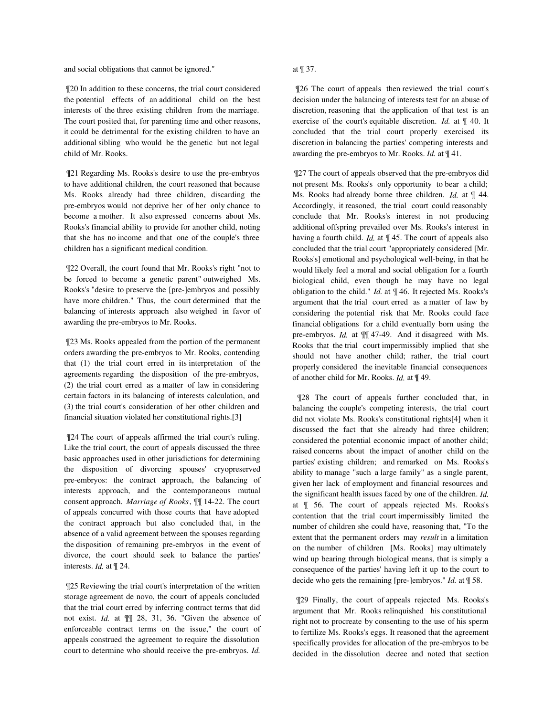and social obligations that cannot be ignored."

 ¶20 In addition to these concerns, the trial court considered the potential effects of an additional child on the best interests of the three existing children from the marriage. The court posited that, for parenting time and other reasons, it could be detrimental for the existing children to have an additional sibling who would be the genetic but not legal child of Mr. Rooks.

 ¶21 Regarding Ms. Rooks's desire to use the pre-embryos to have additional children, the court reasoned that because Ms. Rooks already had three children, discarding the pre-embryos would not deprive her of her only chance to become a mother. It also expressed concerns about Ms. Rooks's financial ability to provide for another child, noting that she has no income and that one of the couple's three children has a significant medical condition.

 ¶22 Overall, the court found that Mr. Rooks's right "not to be forced to become a genetic parent" outweighed Ms. Rooks's "desire to preserve the [pre-]embryos and possibly have more children." Thus, the court determined that the balancing of interests approach also weighed in favor of awarding the pre-embryos to Mr. Rooks.

 ¶23 Ms. Rooks appealed from the portion of the permanent orders awarding the pre-embryos to Mr. Rooks, contending that (1) the trial court erred in its interpretation of the agreements regarding the disposition of the pre-embryos, (2) the trial court erred as a matter of law in considering certain factors in its balancing of interests calculation, and (3) the trial court's consideration of her other children and financial situation violated her constitutional rights.[3]

 ¶24 The court of appeals affirmed the trial court's ruling. Like the trial court, the court of appeals discussed the three basic approaches used in other jurisdictions for determining the disposition of divorcing spouses' cryopreserved pre-embryos: the contract approach, the balancing of interests approach, and the contemporaneous mutual consent approach. *Marriage of Rooks*, ¶¶ 14-22. The court of appeals concurred with those courts that have adopted the contract approach but also concluded that, in the absence of a valid agreement between the spouses regarding the disposition of remaining pre-embryos in the event of divorce, the court should seek to balance the parties' interests. *Id.* at ¶ 24.

 ¶25 Reviewing the trial court's interpretation of the written storage agreement de novo, the court of appeals concluded that the trial court erred by inferring contract terms that did not exist. *Id.* at ¶¶ 28, 31, 36. "Given the absence of enforceable contract terms on the issue," the court of appeals construed the agreement to require the dissolution court to determine who should receive the pre-embryos. *Id.*

# at ¶ 37.

 ¶26 The court of appeals then reviewed the trial court's decision under the balancing of interests test for an abuse of discretion, reasoning that the application of that test is an exercise of the court's equitable discretion. *Id.* at ¶ 40. It concluded that the trial court properly exercised its discretion in balancing the parties' competing interests and awarding the pre-embryos to Mr. Rooks. *Id.* at ¶ 41.

 ¶27 The court of appeals observed that the pre-embryos did not present Ms. Rooks's only opportunity to bear a child; Ms. Rooks had already borne three children. *Id.* at ¶ 44. Accordingly, it reasoned, the trial court could reasonably conclude that Mr. Rooks's interest in not producing additional offspring prevailed over Ms. Rooks's interest in having a fourth child. *Id.* at ¶ 45. The court of appeals also concluded that the trial court "appropriately considered [Mr. Rooks's] emotional and psychological well-being, in that he would likely feel a moral and social obligation for a fourth biological child, even though he may have no legal obligation to the child." *Id.* at ¶ 46. It rejected Ms. Rooks's argument that the trial court erred as a matter of law by considering the potential risk that Mr. Rooks could face financial obligations for a child eventually born using the pre-embryos. *Id.* at ¶¶ 47-49. And it disagreed with Ms. Rooks that the trial court impermissibly implied that she should not have another child; rather, the trial court properly considered the inevitable financial consequences of another child for Mr. Rooks. *Id.* at ¶ 49.

 ¶28 The court of appeals further concluded that, in balancing the couple's competing interests, the trial court did not violate Ms. Rooks's constitutional rights[4] when it discussed the fact that she already had three children; considered the potential economic impact of another child; raised concerns about the impact of another child on the parties' existing children; and remarked on Ms. Rooks's ability to manage "such a large family" as a single parent, given her lack of employment and financial resources and the significant health issues faced by one of the children. *Id.* at ¶ 56. The court of appeals rejected Ms. Rooks's contention that the trial court impermissibly limited the number of children she could have, reasoning that, "To the extent that the permanent orders may *result* in a limitation on the number of children [Ms. Rooks] may ultimately wind up bearing through biological means, that is simply a consequence of the parties' having left it up to the court to decide who gets the remaining [pre-]embryos." *Id.* at ¶ 58.

 ¶29 Finally, the court of appeals rejected Ms. Rooks's argument that Mr. Rooks relinquished his constitutional right not to procreate by consenting to the use of his sperm to fertilize Ms. Rooks's eggs. It reasoned that the agreement specifically provides for allocation of the pre-embryos to be decided in the dissolution decree and noted that section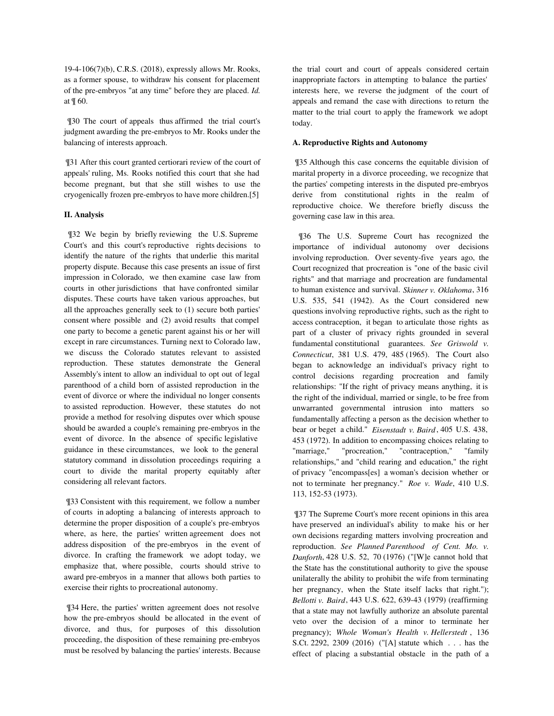19-4-106(7)(b), C.R.S. (2018), expressly allows Mr. Rooks, as a former spouse, to withdraw his consent for placement of the pre-embryos "at any time" before they are placed. *Id.* at ¶ 60.

 ¶30 The court of appeals thus affirmed the trial court's judgment awarding the pre-embryos to Mr. Rooks under the balancing of interests approach.

 ¶31 After this court granted certiorari review of the court of appeals' ruling, Ms. Rooks notified this court that she had become pregnant, but that she still wishes to use the cryogenically frozen pre-embryos to have more children.[5]

# **II. Analysis**

 ¶32 We begin by briefly reviewing the U.S. Supreme Court's and this court's reproductive rights decisions to identify the nature of the rights that underlie this marital property dispute. Because this case presents an issue of first impression in Colorado, we then examine case law from courts in other jurisdictions that have confronted similar disputes. These courts have taken various approaches, but all the approaches generally seek to (1) secure both parties' consent where possible and (2) avoid results that compel one party to become a genetic parent against his or her will except in rare circumstances. Turning next to Colorado law, we discuss the Colorado statutes relevant to assisted reproduction. These statutes demonstrate the General Assembly's intent to allow an individual to opt out of legal parenthood of a child born of assisted reproduction in the event of divorce or where the individual no longer consents to assisted reproduction. However, these statutes do not provide a method for resolving disputes over which spouse should be awarded a couple's remaining pre-embryos in the event of divorce. In the absence of specific legislative guidance in these circumstances, we look to the general statutory command in dissolution proceedings requiring a court to divide the marital property equitably after considering all relevant factors.

 ¶33 Consistent with this requirement, we follow a number of courts in adopting a balancing of interests approach to determine the proper disposition of a couple's pre-embryos where, as here, the parties' written agreement does not address disposition of the pre-embryos in the event of divorce. In crafting the framework we adopt today, we emphasize that, where possible, courts should strive to award pre-embryos in a manner that allows both parties to exercise their rights to procreational autonomy.

 ¶34 Here, the parties' written agreement does not resolve how the pre-embryos should be allocated in the event of divorce, and thus, for purposes of this dissolution proceeding, the disposition of these remaining pre-embryos must be resolved by balancing the parties' interests. Because the trial court and court of appeals considered certain inappropriate factors in attempting to balance the parties' interests here, we reverse the judgment of the court of appeals and remand the case with directions to return the matter to the trial court to apply the framework we adopt today.

# **A. Reproductive Rights and Autonomy**

 ¶35 Although this case concerns the equitable division of marital property in a divorce proceeding, we recognize that the parties' competing interests in the disputed pre-embryos derive from constitutional rights in the realm of reproductive choice. We therefore briefly discuss the governing case law in this area.

 ¶36 The U.S. Supreme Court has recognized the importance of individual autonomy over decisions involving reproduction. Over seventy-five years ago, the Court recognized that procreation is "one of the basic civil rights" and that marriage and procreation are fundamental to human existence and survival. *Skinner v. Oklahoma*, 316 U.S. 535, 541 (1942). As the Court considered new questions involving reproductive rights, such as the right to access contraception, it began to articulate those rights as part of a cluster of privacy rights grounded in several fundamental constitutional guarantees. *See Griswold v. Connecticut*, 381 U.S. 479, 485 (1965). The Court also began to acknowledge an individual's privacy right to control decisions regarding procreation and family relationships: "If the right of privacy means anything, it is the right of the individual, married or single, to be free from unwarranted governmental intrusion into matters so fundamentally affecting a person as the decision whether to bear or beget a child." *Eisenstadt v. Baird* , 405 U.S. 438, 453 (1972). In addition to encompassing choices relating to "marriage," "procreation," "contraception," "family relationships," and "child rearing and education," the right of privacy "encompass[es] a woman's decision whether or not to terminate her pregnancy." *Roe v. Wade*, 410 U.S. 113, 152-53 (1973).

 ¶37 The Supreme Court's more recent opinions in this area have preserved an individual's ability to make his or her own decisions regarding matters involving procreation and reproduction. *See Planned Parenthood of Cent. Mo. v. Danforth*, 428 U.S. 52, 70 (1976) ("[W]e cannot hold that the State has the constitutional authority to give the spouse unilaterally the ability to prohibit the wife from terminating her pregnancy, when the State itself lacks that right."); *Bellotti v. Baird*, 443 U.S. 622, 639-43 (1979) (reaffirming that a state may not lawfully authorize an absolute parental veto over the decision of a minor to terminate her pregnancy); *Whole Woman's Health v. Hellerstedt* , 136 S.Ct. 2292, 2309 (2016) ("[A] statute which . . . has the effect of placing a substantial obstacle in the path of a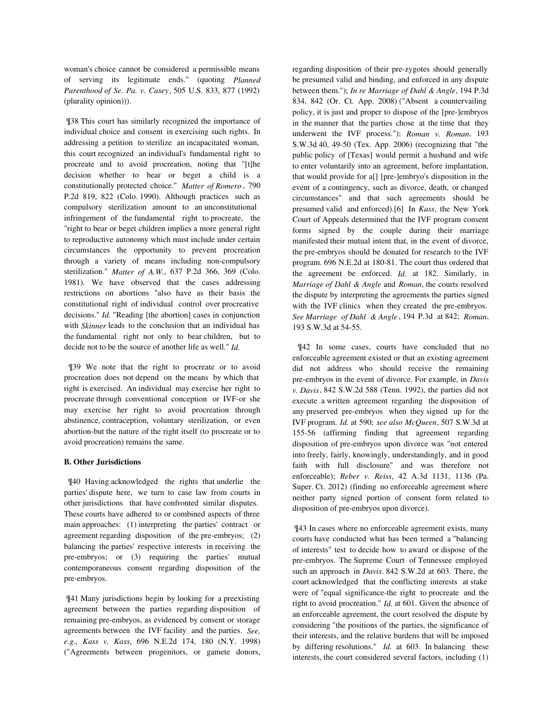woman's choice cannot be considered a permissible means of serving its legitimate ends." (quoting *Planned Parenthood of Se. Pa. v. Casey*, 505 U.S. 833, 877 (1992) (plurality opinion))).

 ¶38 This court has similarly recognized the importance of individual choice and consent in exercising such rights. In addressing a petition to sterilize an incapacitated woman, this court recognized an individual's fundamental right to procreate and to avoid procreation, noting that "[t]he decision whether to bear or beget a child is a constitutionally protected choice." *Matter of Romero* , 790 P.2d 819, 822 (Colo. 1990). Although practices such as compulsory sterilization amount to an unconstitutional infringement of the fundamental right to procreate, the "right to bear or beget children implies a more general right to reproductive autonomy which must include under certain circumstances the opportunity to prevent procreation through a variety of means including non-compulsory sterilization." *Matter of A.W.*, 637 P.2d 366, 369 (Colo. 1981). We have observed that the cases addressing restrictions on abortions "also have as their basis the constitutional right of individual control over procreative decisions." *Id.* "Reading [the abortion] cases in conjunction with *Skinner* leads to the conclusion that an individual has the fundamental right not only to bear children, but to decide not to be the source of another life as well." *Id.*

 ¶39 We note that the right to procreate or to avoid procreation does not depend on the means by which that right is exercised. An individual may exercise her right to procreate through conventional conception or IVF-or she may exercise her right to avoid procreation through abstinence, contraception, voluntary sterilization, or even abortion-but the nature of the right itself (to procreate or to avoid procreation) remains the same.

### **B. Other Jurisdictions**

 ¶40 Having acknowledged the rights that underlie the parties' dispute here, we turn to case law from courts in other jurisdictions that have confronted similar disputes. These courts have adhered to or combined aspects of three main approaches: (1) interpreting the parties' contract or agreement regarding disposition of the pre-embryos; (2) balancing the parties' respective interests in receiving the pre-embryos; or (3) requiring the parties' mutual contemporaneous consent regarding disposition of the pre-embryos.

 ¶41 Many jurisdictions begin by looking for a preexisting agreement between the parties regarding disposition of remaining pre-embryos, as evidenced by consent or storage agreements between the IVF facility and the parties. *See, e.g., Kass v. Kass*, 696 N.E.2d 174, 180 (N.Y. 1998) ("Agreements between progenitors, or gamete donors, regarding disposition of their pre-zygotes should generally be presumed valid and binding, and enforced in any dispute between them."); *In re Marriage of Dahl & Angle*, 194 P.3d 834, 842 (Or. Ct. App. 2008) ("Absent a countervailing policy, it is just and proper to dispose of the [pre-]embryos in the manner that the parties chose at the time that they underwent the IVF process."); *Roman v. Roman*, 193 S.W.3d 40, 49-50 (Tex. App. 2006) (recognizing that "the public policy of [Texas] would permit a husband and wife to enter voluntarily into an agreement, before implantation, that would provide for a[] [pre-]embryo's disposition in the event of a contingency, such as divorce, death, or changed circumstances" and that such agreements should be presumed valid and enforced).[6] In *Kass*, the New York Court of Appeals determined that the IVF program consent forms signed by the couple during their marriage manifested their mutual intent that, in the event of divorce, the pre-embryos should be donated for research to the IVF program. 696 N.E.2d at 180-81. The court thus ordered that the agreement be enforced. *Id.* at 182. Similarly, in *Marriage of Dahl & Angle* and *Roman*, the courts resolved the dispute by interpreting the agreements the parties signed with the IVF clinics when they created the pre-embryos. *See Marriage of Dahl & Angle* , 194 P.3d at 842; *Roman*, 193 S.W.3d at 54-55.

 ¶42 In some cases, courts have concluded that no enforceable agreement existed or that an existing agreement did not address who should receive the remaining pre-embryos in the event of divorce. For example, in *Davis v. Davis*, 842 S.W.2d 588 (Tenn. 1992), the parties did not execute a written agreement regarding the disposition of any preserved pre-embryos when they signed up for the IVF program. *Id.* at 590; *see also McQueen*, 507 S.W.3d at 155-56 (affirming finding that agreement regarding disposition of pre-embryos upon divorce was "not entered into freely, fairly, knowingly, understandingly, and in good faith with full disclosure" and was therefore not enforceable); *Reber v. Reiss*, 42 A.3d 1131, 1136 (Pa. Super. Ct. 2012) (finding no enforceable agreement where neither party signed portion of consent form related to disposition of pre-embryos upon divorce).

 ¶43 In cases where no enforceable agreement exists, many courts have conducted what has been termed a "balancing of interests" test to decide how to award or dispose of the pre-embryos. The Supreme Court of Tennessee employed such an approach in *Davis*. 842 S.W.2d at 603. There, the court acknowledged that the conflicting interests at stake were of "equal significance-the right to procreate and the right to avoid procreation." *Id.* at 601. Given the absence of an enforceable agreement, the court resolved the dispute by considering "the positions of the parties, the significance of their interests, and the relative burdens that will be imposed by differing resolutions." *Id.* at 603. In balancing these interests, the court considered several factors, including (1)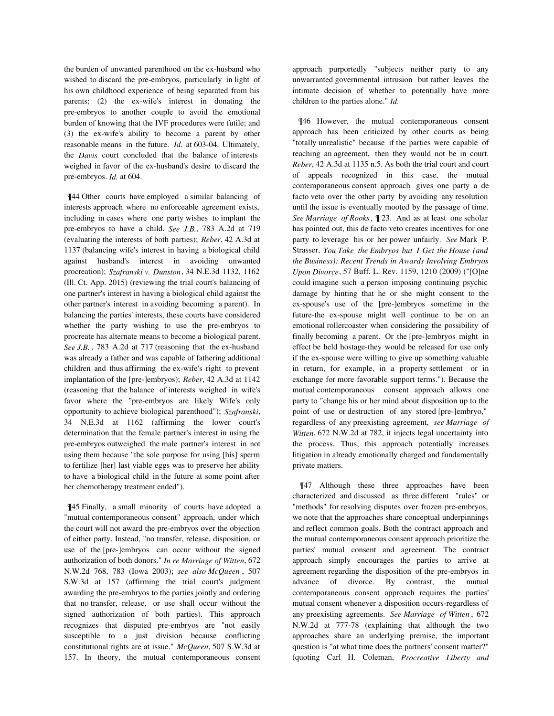the burden of unwanted parenthood on the ex-husband who wished to discard the pre-embryos, particularly in light of his own childhood experience of being separated from his parents; (2) the ex-wife's interest in donating the pre-embryos to another couple to avoid the emotional burden of knowing that the IVF procedures were futile; and (3) the ex-wife's ability to become a parent by other reasonable means in the future. *Id.* at 603-04. Ultimately, the *Davis* court concluded that the balance of interests weighed in favor of the ex-husband's desire to discard the pre-embryos. *Id.* at 604.

 ¶44 Other courts have employed a similar balancing of interests approach where no enforceable agreement exists, including in cases where one party wishes to implant the pre-embryos to have a child. *See J.B.*, 783 A.2d at 719 (evaluating the interests of both parties); *Reber*, 42 A.3d at 1137 (balancing wife's interest in having a biological child against husband's interest in avoiding unwanted procreation); *Szafranski v. Dunston*, 34 N.E.3d 1132, 1162 (Ill. Ct. App. 2015) (reviewing the trial court's balancing of one partner's interest in having a biological child against the other partner's interest in avoiding becoming a parent). In balancing the parties' interests, these courts have considered whether the party wishing to use the pre-embryos to procreate has alternate means to become a biological parent. *See J.B.* , 783 A.2d at 717 (reasoning that the ex-husband was already a father and was capable of fathering additional children and thus affirming the ex-wife's right to prevent implantation of the [pre-]embryos); *Reber*, 42 A.3d at 1142 (reasoning that the balance of interests weighed in wife's favor where the "pre-embryos are likely Wife's only opportunity to achieve biological parenthood"); *Szafranski*, 34 N.E.3d at 1162 (affirming the lower court's determination that the female partner's interest in using the pre-embryos outweighed the male partner's interest in not using them because "the sole purpose for using [his] sperm to fertilize [her] last viable eggs was to preserve her ability to have a biological child in the future at some point after her chemotherapy treatment ended").

 ¶45 Finally, a small minority of courts have adopted a "mutual contemporaneous consent" approach, under which the court will not award the pre-embryos over the objection of either party. Instead, "no transfer, release, disposition, or use of the [pre-]embryos can occur without the signed authorization of both donors." *In re Marriage of Witten*, 672 N.W.2d 768, 783 (Iowa 2003); *see also McQueen* , 507 S.W.3d at 157 (affirming the trial court's judgment awarding the pre-embryos to the parties jointly and ordering that no transfer, release, or use shall occur without the signed authorization of both parties). This approach recognizes that disputed pre-embryos are "not easily susceptible to a just division because conflicting constitutional rights are at issue." *McQueen*, 507 S.W.3d at 157. In theory, the mutual contemporaneous consent approach purportedly "subjects neither party to any unwarranted governmental intrusion but rather leaves the intimate decision of whether to potentially have more children to the parties alone." *Id*.

 ¶46 However, the mutual contemporaneous consent approach has been criticized by other courts as being "totally unrealistic" because if the parties were capable of reaching an agreement, then they would not be in court. *Reber*, 42 A.3d at 1135 n.5. As both the trial court and court of appeals recognized in this case, the mutual contemporaneous consent approach gives one party a de facto veto over the other party by avoiding any resolution until the issue is eventually mooted by the passage of time. *See Marriage of Rooks*, ¶ 23. And as at least one scholar has pointed out, this de facto veto creates incentives for one party to leverage his or her power unfairly. *See* Mark P. Strasser, *You Take the Embryos but I Get the House (and the Business): Recent Trends in Awards Involving Embryos Upon Divorce*, 57 Buff. L. Rev. 1159, 1210 (2009) ("[O]ne could imagine such a person imposing continuing psychic damage by hinting that he or she might consent to the ex-spouse's use of the [pre-]embryos sometime in the future-the ex-spouse might well continue to be on an emotional rollercoaster when considering the possibility of finally becoming a parent. Or the [pre-]embryos might in effect be held hostage-they would be released for use only if the ex-spouse were willing to give up something valuable in return, for example, in a property settlement or in exchange for more favorable support terms."). Because the mutual contemporaneous consent approach allows one party to "change his or her mind about disposition up to the point of use or destruction of any stored [pre-]embryo," regardless of any preexisting agreement, *see Marriage of Witten*, 672 N.W.2d at 782, it injects legal uncertainty into the process. Thus, this approach potentially increases litigation in already emotionally charged and fundamentally private matters.

 ¶47 Although these three approaches have been characterized and discussed as three different "rules" or "methods" for resolving disputes over frozen pre-embryos, we note that the approaches share conceptual underpinnings and reflect common goals. Both the contract approach and the mutual contemporaneous consent approach prioritize the parties' mutual consent and agreement. The contract approach simply encourages the parties to arrive at agreement regarding the disposition of the pre-embryos in advance of divorce. By contrast, the mutual contemporaneous consent approach requires the parties' mutual consent whenever a disposition occurs-regardless of any preexisting agreements. *See Marriage of Witten* , 672 N.W.2d at 777-78 (explaining that although the two approaches share an underlying premise, the important question is "at what time does the partners' consent matter?" (quoting Carl H. Coleman, *Procreative Liberty and*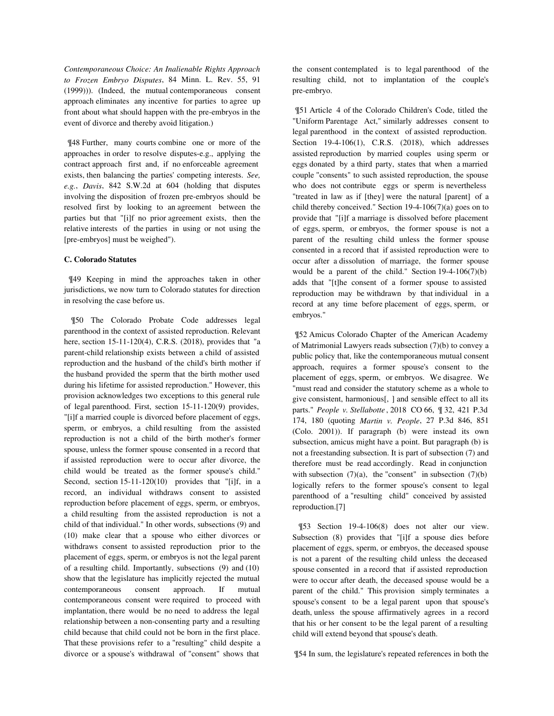*Contemporaneous Choice: An Inalienable Rights Approach to Frozen Embryo Disputes*, 84 Minn. L. Rev. 55, 91 (1999))). (Indeed, the mutual contemporaneous consent approach eliminates any incentive for parties to agree up front about what should happen with the pre-embryos in the event of divorce and thereby avoid litigation.)

 ¶48 Further, many courts combine one or more of the approaches in order to resolve disputes-e.g., applying the contract approach first and, if no enforceable agreement exists, then balancing the parties' competing interests. *See, e.g.*, *Davis*, 842 S.W.2d at 604 (holding that disputes involving the disposition of frozen pre-embryos should be resolved first by looking to an agreement between the parties but that "[i]f no prior agreement exists, then the relative interests of the parties in using or not using the [pre-embryos] must be weighed").

#### **C. Colorado Statutes**

 ¶49 Keeping in mind the approaches taken in other jurisdictions, we now turn to Colorado statutes for direction in resolving the case before us.

 ¶50 The Colorado Probate Code addresses legal parenthood in the context of assisted reproduction. Relevant here, section 15-11-120(4), C.R.S. (2018), provides that "a parent-child relationship exists between a child of assisted reproduction and the husband of the child's birth mother if the husband provided the sperm that the birth mother used during his lifetime for assisted reproduction." However, this provision acknowledges two exceptions to this general rule of legal parenthood. First, section 15-11-120(9) provides, "[i]f a married couple is divorced before placement of eggs, sperm, or embryos, a child resulting from the assisted reproduction is not a child of the birth mother's former spouse, unless the former spouse consented in a record that if assisted reproduction were to occur after divorce, the child would be treated as the former spouse's child." Second, section 15-11-120(10) provides that "[i]f, in a record, an individual withdraws consent to assisted reproduction before placement of eggs, sperm, or embryos, a child resulting from the assisted reproduction is not a child of that individual." In other words, subsections (9) and (10) make clear that a spouse who either divorces or withdraws consent to assisted reproduction prior to the placement of eggs, sperm, or embryos is not the legal parent of a resulting child. Importantly, subsections (9) and (10) show that the legislature has implicitly rejected the mutual contemporaneous consent approach. If mutual contemporaneous consent were required to proceed with implantation, there would be no need to address the legal relationship between a non-consenting party and a resulting child because that child could not be born in the first place. That these provisions refer to a "resulting" child despite a divorce or a spouse's withdrawal of "consent" shows that

the consent contemplated is to legal parenthood of the resulting child, not to implantation of the couple's pre-embryo.

 ¶51 Article 4 of the Colorado Children's Code, titled the "Uniform Parentage Act," similarly addresses consent to legal parenthood in the context of assisted reproduction. Section 19-4-106(1), C.R.S. (2018), which addresses assisted reproduction by married couples using sperm or eggs donated by a third party, states that when a married couple "consents" to such assisted reproduction, the spouse who does not contribute eggs or sperm is nevertheless "treated in law as if [they] were the natural [parent] of a child thereby conceived." Section 19-4-106(7)(a) goes on to provide that "[i]f a marriage is dissolved before placement of eggs, sperm, or embryos, the former spouse is not a parent of the resulting child unless the former spouse consented in a record that if assisted reproduction were to occur after a dissolution of marriage, the former spouse would be a parent of the child." Section 19-4-106(7)(b) adds that "[t]he consent of a former spouse to assisted reproduction may be withdrawn by that individual in a record at any time before placement of eggs, sperm, or embryos."

 ¶52 Amicus Colorado Chapter of the American Academy of Matrimonial Lawyers reads subsection (7)(b) to convey a public policy that, like the contemporaneous mutual consent approach, requires a former spouse's consent to the placement of eggs, sperm, or embryos. We disagree. We "must read and consider the statutory scheme as a whole to give consistent, harmonious[, ] and sensible effect to all its parts." *People v. Stellabotte* , 2018 CO 66, ¶ 32, 421 P.3d 174, 180 (quoting *Martin v. People*, 27 P.3d 846, 851 (Colo. 2001)). If paragraph (b) were instead its own subsection, amicus might have a point. But paragraph (b) is not a freestanding subsection. It is part of subsection (7) and therefore must be read accordingly. Read in conjunction with subsection  $(7)(a)$ , the "consent" in subsection  $(7)(b)$ logically refers to the former spouse's consent to legal parenthood of a "resulting child" conceived by assisted reproduction.[7]

 ¶53 Section 19-4-106(8) does not alter our view. Subsection (8) provides that "[i]f a spouse dies before placement of eggs, sperm, or embryos, the deceased spouse is not a parent of the resulting child unless the deceased spouse consented in a record that if assisted reproduction were to occur after death, the deceased spouse would be a parent of the child." This provision simply terminates a spouse's consent to be a legal parent upon that spouse's death, unless the spouse affirmatively agrees in a record that his or her consent to be the legal parent of a resulting child will extend beyond that spouse's death.

¶54 In sum, the legislature's repeated references in both the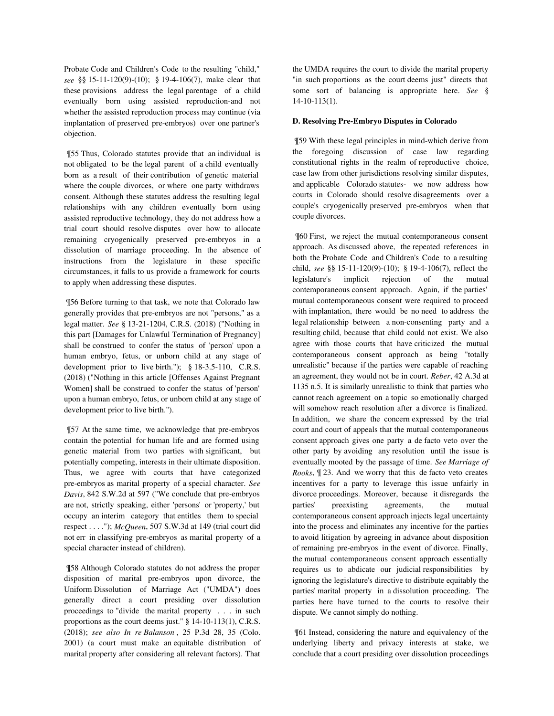Probate Code and Children's Code to the resulting "child," *see* §§ 15-11-120(9)-(10); § 19-4-106(7), make clear that these provisions address the legal parentage of a child eventually born using assisted reproduction-and not whether the assisted reproduction process may continue (via implantation of preserved pre-embryos) over one partner's objection.

 ¶55 Thus, Colorado statutes provide that an individual is not obligated to be the legal parent of a child eventually born as a result of their contribution of genetic material where the couple divorces, or where one party withdraws consent. Although these statutes address the resulting legal relationships with any children eventually born using assisted reproductive technology, they do not address how a trial court should resolve disputes over how to allocate remaining cryogenically preserved pre-embryos in a dissolution of marriage proceeding. In the absence of instructions from the legislature in these specific circumstances, it falls to us provide a framework for courts to apply when addressing these disputes.

 ¶56 Before turning to that task, we note that Colorado law generally provides that pre-embryos are not "persons," as a legal matter. *See* § 13-21-1204, C.R.S. (2018) ("Nothing in this part [Damages for Unlawful Termination of Pregnancy] shall be construed to confer the status of 'person' upon a human embryo, fetus, or unborn child at any stage of development prior to live birth."); § 18-3.5-110, C.R.S. (2018) ("Nothing in this article [Offenses Against Pregnant Women] shall be construed to confer the status of 'person' upon a human embryo, fetus, or unborn child at any stage of development prior to live birth.").

 ¶57 At the same time, we acknowledge that pre-embryos contain the potential for human life and are formed using genetic material from two parties with significant, but potentially competing, interests in their ultimate disposition. Thus, we agree with courts that have categorized pre-embryos as marital property of a special character. *See Davis*, 842 S.W.2d at 597 ("We conclude that pre-embryos are not, strictly speaking, either 'persons' or 'property,' but occupy an interim category that entitles them to special respect . . . ."); *McQueen*, 507 S.W.3d at 149 (trial court did not err in classifying pre-embryos as marital property of a special character instead of children).

 ¶58 Although Colorado statutes do not address the proper disposition of marital pre-embryos upon divorce, the Uniform Dissolution of Marriage Act ("UMDA") does generally direct a court presiding over dissolution proceedings to "divide the marital property . . . in such proportions as the court deems just." § 14-10-113(1), C.R.S. (2018); *see also In re Balanson* , 25 P.3d 28, 35 (Colo. 2001) (a court must make an equitable distribution of marital property after considering all relevant factors). That the UMDA requires the court to divide the marital property "in such proportions as the court deems just" directs that some sort of balancing is appropriate here. *See* § 14-10-113(1).

### **D. Resolving Pre-Embryo Disputes in Colorado**

 ¶59 With these legal principles in mind-which derive from the foregoing discussion of case law regarding constitutional rights in the realm of reproductive choice, case law from other jurisdictions resolving similar disputes, and applicable Colorado statutes- we now address how courts in Colorado should resolve disagreements over a couple's cryogenically preserved pre-embryos when that couple divorces.

 ¶60 First, we reject the mutual contemporaneous consent approach. As discussed above, the repeated references in both the Probate Code and Children's Code to a resulting child, *see* §§ 15-11-120(9)-(10); § 19-4-106(7), reflect the legislature's implicit rejection of the mutual contemporaneous consent approach. Again, if the parties' mutual contemporaneous consent were required to proceed with implantation, there would be no need to address the legal relationship between a non-consenting party and a resulting child, because that child could not exist. We also agree with those courts that have criticized the mutual contemporaneous consent approach as being "totally unrealistic" because if the parties were capable of reaching an agreement, they would not be in court. *Reber*, 42 A.3d at 1135 n.5. It is similarly unrealistic to think that parties who cannot reach agreement on a topic so emotionally charged will somehow reach resolution after a divorce is finalized. In addition, we share the concern expressed by the trial court and court of appeals that the mutual contemporaneous consent approach gives one party a de facto veto over the other party by avoiding any resolution until the issue is eventually mooted by the passage of time. *See Marriage of Rooks*, ¶ 23. And we worry that this de facto veto creates incentives for a party to leverage this issue unfairly in divorce proceedings. Moreover, because it disregards the parties' preexisting agreements, the mutual contemporaneous consent approach injects legal uncertainty into the process and eliminates any incentive for the parties to avoid litigation by agreeing in advance about disposition of remaining pre-embryos in the event of divorce. Finally, the mutual contemporaneous consent approach essentially requires us to abdicate our judicial responsibilities by ignoring the legislature's directive to distribute equitably the parties' marital property in a dissolution proceeding. The parties here have turned to the courts to resolve their dispute. We cannot simply do nothing.

 ¶61 Instead, considering the nature and equivalency of the underlying liberty and privacy interests at stake, we conclude that a court presiding over dissolution proceedings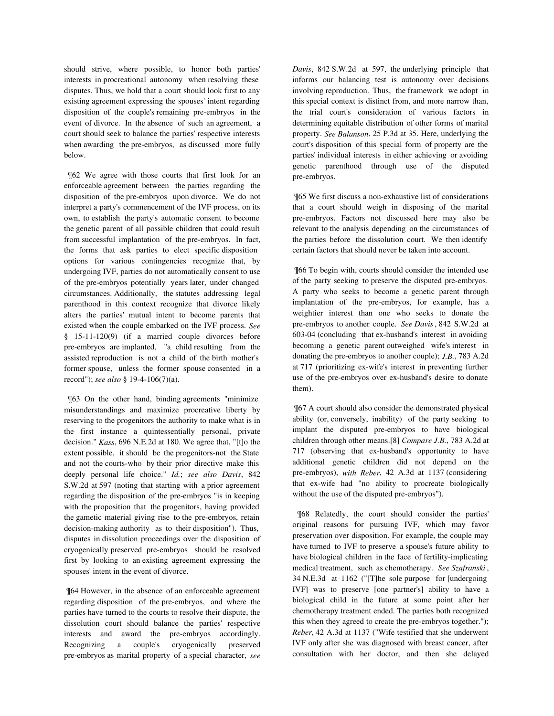should strive, where possible, to honor both parties' interests in procreational autonomy when resolving these disputes. Thus, we hold that a court should look first to any existing agreement expressing the spouses' intent regarding disposition of the couple's remaining pre-embryos in the event of divorce. In the absence of such an agreement, a court should seek to balance the parties' respective interests when awarding the pre-embryos, as discussed more fully below.

 ¶62 We agree with those courts that first look for an enforceable agreement between the parties regarding the disposition of the pre-embryos upon divorce. We do not interpret a party's commencement of the IVF process, on its own, to establish the party's automatic consent to become the genetic parent of all possible children that could result from successful implantation of the pre-embryos. In fact, the forms that ask parties to elect specific disposition options for various contingencies recognize that, by undergoing IVF, parties do not automatically consent to use of the pre-embryos potentially years later, under changed circumstances. Additionally, the statutes addressing legal parenthood in this context recognize that divorce likely alters the parties' mutual intent to become parents that existed when the couple embarked on the IVF process. *See* § 15-11-120(9) (if a married couple divorces before pre-embryos are implanted, "a child resulting from the assisted reproduction is not a child of the birth mother's former spouse, unless the former spouse consented in a record"); *see also* § 19-4-106(7)(a).

 ¶63 On the other hand, binding agreements "minimize misunderstandings and maximize procreative liberty by reserving to the progenitors the authority to make what is in the first instance a quintessentially personal, private decision." *Kass*, 696 N.E.2d at 180. We agree that, "[t]o the extent possible, it should be the progenitors-not the State and not the courts-who by their prior directive make this deeply personal life choice." *Id.*; *see also Davis*, 842 S.W.2d at 597 (noting that starting with a prior agreement regarding the disposition of the pre-embryos "is in keeping with the proposition that the progenitors, having provided the gametic material giving rise to the pre-embryos, retain decision-making authority as to their disposition"). Thus, disputes in dissolution proceedings over the disposition of cryogenically preserved pre-embryos should be resolved first by looking to an existing agreement expressing the spouses' intent in the event of divorce.

 ¶64 However, in the absence of an enforceable agreement regarding disposition of the pre-embryos, and where the parties have turned to the courts to resolve their dispute, the dissolution court should balance the parties' respective interests and award the pre-embryos accordingly. Recognizing a couple's cryogenically preserved pre-embryos as marital property of a special character, *see* *Davis*, 842 S.W.2d at 597, the underlying principle that informs our balancing test is autonomy over decisions involving reproduction. Thus, the framework we adopt in this special context is distinct from, and more narrow than, the trial court's consideration of various factors in determining equitable distribution of other forms of marital property. *See Balanson*, 25 P.3d at 35. Here, underlying the court's disposition of this special form of property are the parties' individual interests in either achieving or avoiding genetic parenthood through use of the disputed pre-embryos.

 ¶65 We first discuss a non-exhaustive list of considerations that a court should weigh in disposing of the marital pre-embryos. Factors not discussed here may also be relevant to the analysis depending on the circumstances of the parties before the dissolution court. We then identify certain factors that should never be taken into account.

 ¶66 To begin with, courts should consider the intended use of the party seeking to preserve the disputed pre-embryos. A party who seeks to become a genetic parent through implantation of the pre-embryos, for example, has a weightier interest than one who seeks to donate the pre-embryos to another couple. *See Davis*, 842 S.W.2d at 603-04 (concluding that ex-husband's interest in avoiding becoming a genetic parent outweighed wife's interest in donating the pre-embryos to another couple); *J.B.*, 783 A.2d at 717 (prioritizing ex-wife's interest in preventing further use of the pre-embryos over ex-husband's desire to donate them).

 ¶67 A court should also consider the demonstrated physical ability (or, conversely, inability) of the party seeking to implant the disputed pre-embryos to have biological children through other means.[8] *Compare J.B.*, 783 A.2d at 717 (observing that ex-husband's opportunity to have additional genetic children did not depend on the pre-embryos), *with Reber*, 42 A.3d at 1137 (considering that ex-wife had "no ability to procreate biologically without the use of the disputed pre-embryos").

 ¶68 Relatedly, the court should consider the parties' original reasons for pursuing IVF, which may favor preservation over disposition. For example, the couple may have turned to IVF to preserve a spouse's future ability to have biological children in the face of fertility-implicating medical treatment, such as chemotherapy. *See Szafranski* , 34 N.E.3d at 1162 ("[T]he sole purpose for [undergoing IVF] was to preserve [one partner's] ability to have a biological child in the future at some point after her chemotherapy treatment ended. The parties both recognized this when they agreed to create the pre-embryos together."); *Reber*, 42 A.3d at 1137 ("Wife testified that she underwent IVF only after she was diagnosed with breast cancer, after consultation with her doctor, and then she delayed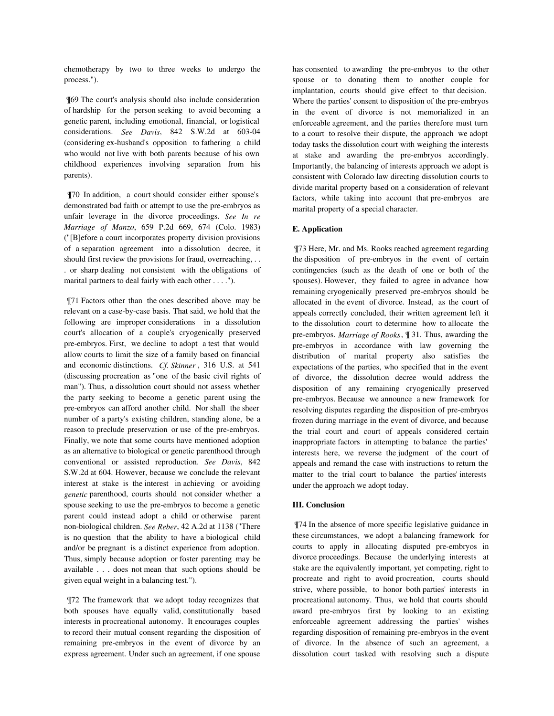chemotherapy by two to three weeks to undergo the process.").

 ¶69 The court's analysis should also include consideration of hardship for the person seeking to avoid becoming a genetic parent, including emotional, financial, or logistical considerations. *See Davis*, 842 S.W.2d at 603-04 (considering ex-husband's opposition to fathering a child who would not live with both parents because of his own childhood experiences involving separation from his parents).

 ¶70 In addition, a court should consider either spouse's demonstrated bad faith or attempt to use the pre-embryos as unfair leverage in the divorce proceedings. *See In re Marriage of Manzo*, 659 P.2d 669, 674 (Colo. 1983) ("[B]efore a court incorporates property division provisions of a separation agreement into a dissolution decree, it should first review the provisions for fraud, overreaching, . . . or sharp dealing not consistent with the obligations of marital partners to deal fairly with each other . . . .").

 ¶71 Factors other than the ones described above may be relevant on a case-by-case basis. That said, we hold that the following are improper considerations in a dissolution court's allocation of a couple's cryogenically preserved pre-embryos. First, we decline to adopt a test that would allow courts to limit the size of a family based on financial and economic distinctions. *Cf. Skinner* , 316 U.S. at 541 (discussing procreation as "one of the basic civil rights of man"). Thus, a dissolution court should not assess whether the party seeking to become a genetic parent using the pre-embryos can afford another child. Nor shall the sheer number of a party's existing children, standing alone, be a reason to preclude preservation or use of the pre-embryos. Finally, we note that some courts have mentioned adoption as an alternative to biological or genetic parenthood through conventional or assisted reproduction. *See Davis*, 842 S.W.2d at 604. However, because we conclude the relevant interest at stake is the interest in achieving or avoiding *genetic* parenthood, courts should not consider whether a spouse seeking to use the pre-embryos to become a genetic parent could instead adopt a child or otherwise parent non-biological children. *See Reber*, 42 A.2d at 1138 ("There is no question that the ability to have a biological child and/or be pregnant is a distinct experience from adoption. Thus, simply because adoption or foster parenting may be available . . . does not mean that such options should be given equal weight in a balancing test.").

 ¶72 The framework that we adopt today recognizes that both spouses have equally valid, constitutionally based interests in procreational autonomy. It encourages couples to record their mutual consent regarding the disposition of remaining pre-embryos in the event of divorce by an express agreement. Under such an agreement, if one spouse has consented to awarding the pre-embryos to the other spouse or to donating them to another couple for implantation, courts should give effect to that decision. Where the parties' consent to disposition of the pre-embryos in the event of divorce is not memorialized in an enforceable agreement, and the parties therefore must turn to a court to resolve their dispute, the approach we adopt today tasks the dissolution court with weighing the interests at stake and awarding the pre-embryos accordingly. Importantly, the balancing of interests approach we adopt is consistent with Colorado law directing dissolution courts to divide marital property based on a consideration of relevant factors, while taking into account that pre-embryos are marital property of a special character.

### **E. Application**

 ¶73 Here, Mr. and Ms. Rooks reached agreement regarding the disposition of pre-embryos in the event of certain contingencies (such as the death of one or both of the spouses). However, they failed to agree in advance how remaining cryogenically preserved pre-embryos should be allocated in the event of divorce. Instead, as the court of appeals correctly concluded, their written agreement left it to the dissolution court to determine how to allocate the pre-embryos. *Marriage of Rooks*, ¶ 31. Thus, awarding the pre-embryos in accordance with law governing the distribution of marital property also satisfies the expectations of the parties, who specified that in the event of divorce, the dissolution decree would address the disposition of any remaining cryogenically preserved pre-embryos. Because we announce a new framework for resolving disputes regarding the disposition of pre-embryos frozen during marriage in the event of divorce, and because the trial court and court of appeals considered certain inappropriate factors in attempting to balance the parties' interests here, we reverse the judgment of the court of appeals and remand the case with instructions to return the matter to the trial court to balance the parties' interests under the approach we adopt today.

### **III. Conclusion**

 ¶74 In the absence of more specific legislative guidance in these circumstances, we adopt a balancing framework for courts to apply in allocating disputed pre-embryos in divorce proceedings. Because the underlying interests at stake are the equivalently important, yet competing, right to procreate and right to avoid procreation, courts should strive, where possible, to honor both parties' interests in procreational autonomy. Thus, we hold that courts should award pre-embryos first by looking to an existing enforceable agreement addressing the parties' wishes regarding disposition of remaining pre-embryos in the event of divorce. In the absence of such an agreement, a dissolution court tasked with resolving such a dispute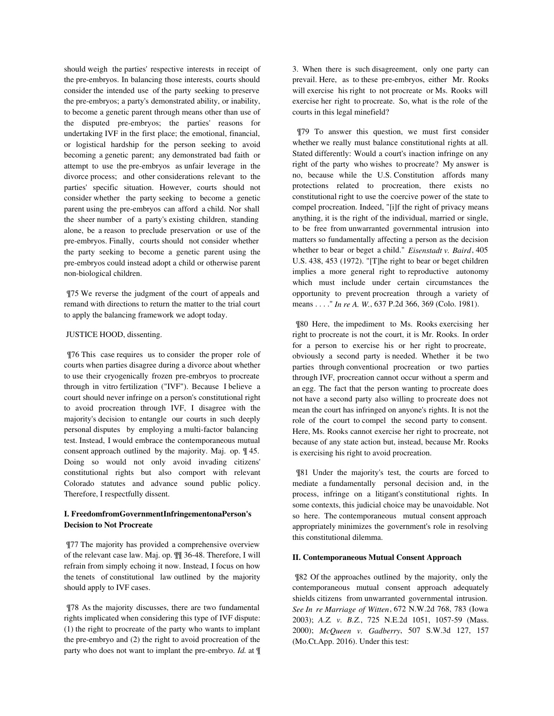should weigh the parties' respective interests in receipt of the pre-embryos. In balancing those interests, courts should consider the intended use of the party seeking to preserve the pre-embryos; a party's demonstrated ability, or inability, to become a genetic parent through means other than use of the disputed pre-embryos; the parties' reasons for undertaking IVF in the first place; the emotional, financial, or logistical hardship for the person seeking to avoid becoming a genetic parent; any demonstrated bad faith or attempt to use the pre-embryos as unfair leverage in the divorce process; and other considerations relevant to the parties' specific situation. However, courts should not consider whether the party seeking to become a genetic parent using the pre-embryos can afford a child. Nor shall the sheer number of a party's existing children, standing alone, be a reason to preclude preservation or use of the pre-embryos. Finally, courts should not consider whether the party seeking to become a genetic parent using the pre-embryos could instead adopt a child or otherwise parent non-biological children.

 ¶75 We reverse the judgment of the court of appeals and remand with directions to return the matter to the trial court to apply the balancing framework we adopt today.

# JUSTICE HOOD, dissenting.

 ¶76 This case requires us to consider the proper role of courts when parties disagree during a divorce about whether to use their cryogenically frozen pre-embryos to procreate through in vitro fertilization ("IVF"). Because I believe a court should never infringe on a person's constitutional right to avoid procreation through IVF, I disagree with the majority's decision to entangle our courts in such deeply personal disputes by employing a multi-factor balancing test. Instead, I would embrace the contemporaneous mutual consent approach outlined by the majority. Maj. op. ¶ 45. Doing so would not only avoid invading citizens' constitutional rights but also comport with relevant Colorado statutes and advance sound public policy. Therefore, I respectfully dissent.

# **I. FreedomfromGovernmentInfringementonaPerson's Decision to Not Procreate**

 ¶77 The majority has provided a comprehensive overview of the relevant case law. Maj. op. ¶¶ 36-48. Therefore, I will refrain from simply echoing it now. Instead, I focus on how the tenets of constitutional law outlined by the majority should apply to IVF cases.

 ¶78 As the majority discusses, there are two fundamental rights implicated when considering this type of IVF dispute: (1) the right to procreate of the party who wants to implant the pre-embryo and (2) the right to avoid procreation of the party who does not want to implant the pre-embryo. *Id.* at ¶ 3. When there is such disagreement, only one party can prevail. Here, as to these pre-embryos, either Mr. Rooks will exercise his right to not procreate or Ms. Rooks will exercise her right to procreate. So, what is the role of the courts in this legal minefield?

 ¶79 To answer this question, we must first consider whether we really must balance constitutional rights at all. Stated differently: Would a court's inaction infringe on any right of the party who wishes to procreate? My answer is no, because while the U.S. Constitution affords many protections related to procreation, there exists no constitutional right to use the coercive power of the state to compel procreation. Indeed, "[i]f the right of privacy means anything, it is the right of the individual, married or single, to be free from unwarranted governmental intrusion into matters so fundamentally affecting a person as the decision whether to bear or beget a child." *Eisenstadt v. Baird*, 405 U.S. 438, 453 (1972). "[T]he right to bear or beget children implies a more general right to reproductive autonomy which must include under certain circumstances the opportunity to prevent procreation through a variety of means . . . ." *In re A. W.*, 637 P.2d 366, 369 (Colo. 1981).

 ¶80 Here, the impediment to Ms. Rooks exercising her right to procreate is not the court, it is Mr. Rooks. In order for a person to exercise his or her right to procreate, obviously a second party is needed. Whether it be two parties through conventional procreation or two parties through IVF, procreation cannot occur without a sperm and an egg. The fact that the person wanting to procreate does not have a second party also willing to procreate does not mean the court has infringed on anyone's rights. It is not the role of the court to compel the second party to consent. Here, Ms. Rooks cannot exercise her right to procreate, not because of any state action but, instead, because Mr. Rooks is exercising his right to avoid procreation.

 ¶81 Under the majority's test, the courts are forced to mediate a fundamentally personal decision and, in the process, infringe on a litigant's constitutional rights. In some contexts, this judicial choice may be unavoidable. Not so here. The contemporaneous mutual consent approach appropriately minimizes the government's role in resolving this constitutional dilemma.

#### **II. Contemporaneous Mutual Consent Approach**

 ¶82 Of the approaches outlined by the majority, only the contemporaneous mutual consent approach adequately shields citizens from unwarranted governmental intrusion. *See In re Marriage of Witten*, 672 N.W.2d 768, 783 (Iowa 2003); *A.Z. v. B.Z.*, 725 N.E.2d 1051, 1057-59 (Mass. 2000); *McQueen v. Gadberry*, 507 S.W.3d 127, 157 (Mo.Ct.App. 2016). Under this test: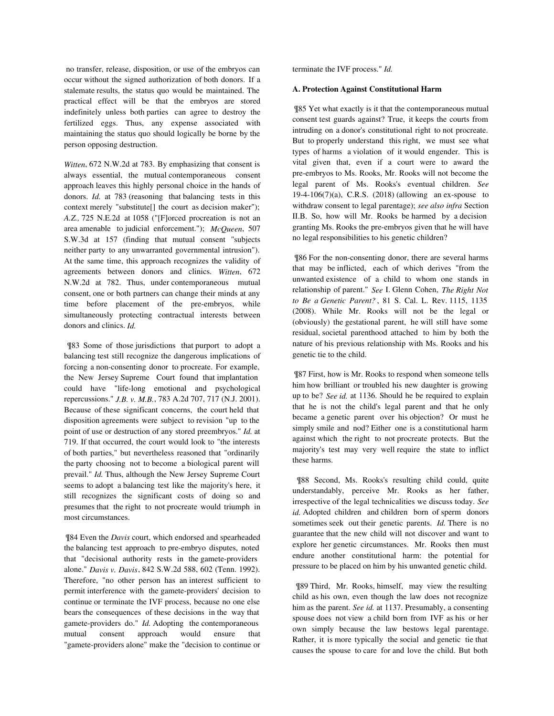no transfer, release, disposition, or use of the embryos can occur without the signed authorization of both donors. If a stalemate results, the status quo would be maintained. The practical effect will be that the embryos are stored indefinitely unless both parties can agree to destroy the fertilized eggs. Thus, any expense associated with maintaining the status quo should logically be borne by the person opposing destruction.

*Witten*, 672 N.W.2d at 783. By emphasizing that consent is always essential, the mutual contemporaneous consent approach leaves this highly personal choice in the hands of donors. *Id.* at 783 (reasoning that balancing tests in this context merely "substitute[] the court as decision maker"); *A.Z.,* 725 N.E.2d at 1058 ("[F]orced procreation is not an area amenable to judicial enforcement."); *McQueen*, 507 S.W.3d at 157 (finding that mutual consent "subjects neither party to any unwarranted governmental intrusion"). At the same time, this approach recognizes the validity of agreements between donors and clinics. *Witten*, 672 N.W.2d at 782. Thus, under contemporaneous mutual consent, one or both partners can change their minds at any time before placement of the pre-embryos, while simultaneously protecting contractual interests between donors and clinics. *Id.*

 ¶83 Some of those jurisdictions that purport to adopt a balancing test still recognize the dangerous implications of forcing a non-consenting donor to procreate. For example, the New Jersey Supreme Court found that implantation could have "life-long emotional and psychological repercussions." *J.B. v. M.B.*, 783 A.2d 707, 717 (N.J. 2001). Because of these significant concerns, the court held that disposition agreements were subject to revision "up to the point of use or destruction of any stored preembryos." *Id.* at 719. If that occurred, the court would look to "the interests of both parties," but nevertheless reasoned that "ordinarily the party choosing not to become a biological parent will prevail." *Id.* Thus, although the New Jersey Supreme Court seems to adopt a balancing test like the majority's here, it still recognizes the significant costs of doing so and presumes that the right to not procreate would triumph in most circumstances.

 ¶84 Even the *Davis* court, which endorsed and spearheaded the balancing test approach to pre-embryo disputes, noted that "decisional authority rests in the gamete-providers alone." *Davis v. Davis*, 842 S.W.2d 588, 602 (Tenn. 1992). Therefore, "no other person has an interest sufficient to permit interference with the gamete-providers' decision to continue or terminate the IVF process, because no one else bears the consequences of these decisions in the way that gamete-providers do." *Id.* Adopting the contemporaneous mutual consent approach would ensure that "gamete-providers alone" make the "decision to continue or terminate the IVF process." *Id.*

#### **A. Protection Against Constitutional Harm**

 ¶85 Yet what exactly is it that the contemporaneous mutual consent test guards against? True, it keeps the courts from intruding on a donor's constitutional right to not procreate. But to properly understand this right, we must see what types of harms a violation of it would engender. This is vital given that, even if a court were to award the pre-embryos to Ms. Rooks, Mr. Rooks will not become the legal parent of Ms. Rooks's eventual children. *See* 19-4-106(7)(a), C.R.S. (2018) (allowing an ex-spouse to withdraw consent to legal parentage); *see also infra* Section II.B. So, how will Mr. Rooks be harmed by a decision granting Ms. Rooks the pre-embryos given that he will have no legal responsibilities to his genetic children?

 ¶86 For the non-consenting donor, there are several harms that may be inflicted, each of which derives "from the unwanted existence of a child to whom one stands in relationship of parent." *See* I. Glenn Cohen, *The Right Not to Be a Genetic Parent?* , 81 S. Cal. L. Rev. 1115, 1135 (2008). While Mr. Rooks will not be the legal or (obviously) the gestational parent, he will still have some residual, societal parenthood attached to him by both the nature of his previous relationship with Ms. Rooks and his genetic tie to the child.

 ¶87 First, how is Mr. Rooks to respond when someone tells him how brilliant or troubled his new daughter is growing up to be? *See id.* at 1136. Should he be required to explain that he is not the child's legal parent and that he only became a genetic parent over his objection? Or must he simply smile and nod? Either one is a constitutional harm against which the right to not procreate protects. But the majority's test may very well require the state to inflict these harms.

 ¶88 Second, Ms. Rooks's resulting child could, quite understandably, perceive Mr. Rooks as her father, irrespective of the legal technicalities we discuss today. *See id.* Adopted children and children born of sperm donors sometimes seek out their genetic parents. *Id.* There is no guarantee that the new child will not discover and want to explore her genetic circumstances. Mr. Rooks then must endure another constitutional harm: the potential for pressure to be placed on him by his unwanted genetic child.

 ¶89 Third, Mr. Rooks, himself, may view the resulting child as his own, even though the law does not recognize him as the parent. *See id.* at 1137. Presumably, a consenting spouse does not view a child born from IVF as his or her own simply because the law bestows legal parentage. Rather, it is more typically the social and genetic tie that causes the spouse to care for and love the child. But both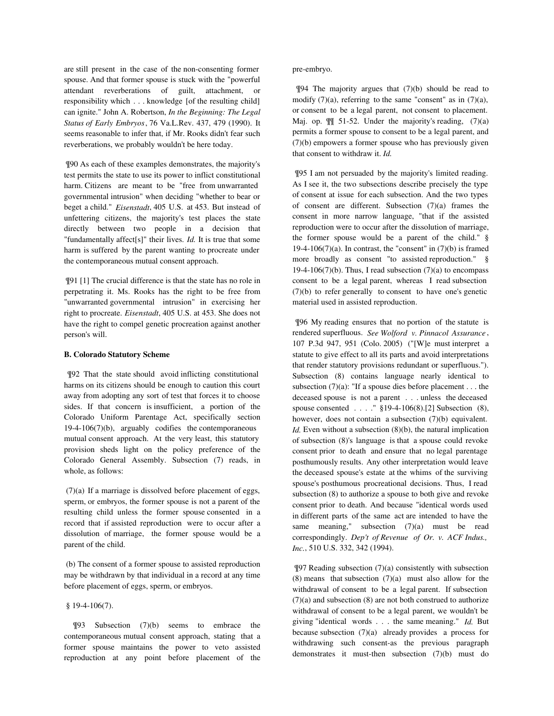are still present in the case of the non-consenting former spouse. And that former spouse is stuck with the "powerful attendant reverberations of guilt, attachment, or responsibility which . . . knowledge [of the resulting child] can ignite." John A. Robertson, *In the Beginning: The Legal Status of Early Embryos*, 76 Va.L.Rev. 437, 479 (1990). It seems reasonable to infer that, if Mr. Rooks didn't fear such reverberations, we probably wouldn't be here today.

 ¶90 As each of these examples demonstrates, the majority's test permits the state to use its power to inflict constitutional harm. Citizens are meant to be "free from unwarranted governmental intrusion" when deciding "whether to bear or beget a child." *Eisenstadt*, 405 U.S. at 453. But instead of unfettering citizens, the majority's test places the state directly between two people in a decision that "fundamentally affect[s]" their lives. *Id.* It is true that some harm is suffered by the parent wanting to procreate under the contemporaneous mutual consent approach.

 ¶91 [1] The crucial difference is that the state has no role in perpetrating it. Ms. Rooks has the right to be free from "unwarranted governmental intrusion" in exercising her right to procreate. *Eisenstadt*, 405 U.S. at 453. She does not have the right to compel genetic procreation against another person's will.

#### **B. Colorado Statutory Scheme**

 ¶92 That the state should avoid inflicting constitutional harms on its citizens should be enough to caution this court away from adopting any sort of test that forces it to choose sides. If that concern is insufficient, a portion of the Colorado Uniform Parentage Act, specifically section 19-4-106(7)(b), arguably codifies the contemporaneous mutual consent approach. At the very least, this statutory provision sheds light on the policy preference of the Colorado General Assembly. Subsection (7) reads, in whole, as follows:

 (7)(a) If a marriage is dissolved before placement of eggs, sperm, or embryos, the former spouse is not a parent of the resulting child unless the former spouse consented in a record that if assisted reproduction were to occur after a dissolution of marriage, the former spouse would be a parent of the child.

 (b) The consent of a former spouse to assisted reproduction may be withdrawn by that individual in a record at any time before placement of eggs, sperm, or embryos.

§ 19-4-106(7).

 $\P$ 93 Subsection (7)(b) seems to embrace the contemporaneous mutual consent approach, stating that a former spouse maintains the power to veto assisted reproduction at any point before placement of the

#### pre-embryo.

 ¶94 The majority argues that (7)(b) should be read to modify  $(7)(a)$ , referring to the same "consent" as in  $(7)(a)$ , or consent to be a legal parent, not consent to placement. Maj. op.  $\mathbb{I}$  51-52. Under the majority's reading, (7)(a) permits a former spouse to consent to be a legal parent, and (7)(b) empowers a former spouse who has previously given that consent to withdraw it. *Id.*

 ¶95 I am not persuaded by the majority's limited reading. As I see it, the two subsections describe precisely the type of consent at issue for each subsection. And the two types of consent are different. Subsection (7)(a) frames the consent in more narrow language, "that if the assisted reproduction were to occur after the dissolution of marriage, the former spouse would be a parent of the child." § 19-4-106(7)(a). In contrast, the "consent" in  $(7)(b)$  is framed more broadly as consent "to assisted reproduction." § 19-4-106(7)(b). Thus, I read subsection  $(7)(a)$  to encompass consent to be a legal parent, whereas I read subsection (7)(b) to refer generally to consent to have one's genetic material used in assisted reproduction.

 ¶96 My reading ensures that no portion of the statute is rendered superfluous. *See Wolford v. Pinnacol Assurance* , 107 P.3d 947, 951 (Colo. 2005) ("[W]e must interpret a statute to give effect to all its parts and avoid interpretations that render statutory provisions redundant or superfluous."). Subsection (8) contains language nearly identical to subsection  $(7)(a)$ : "If a spouse dies before placement . . . the deceased spouse is not a parent . . . unless the deceased spouse consented . . . ." §19-4-106(8).[2] Subsection (8), however, does not contain a subsection (7)(b) equivalent. *Id.* Even without a subsection (8)(b), the natural implication of subsection (8)'s language is that a spouse could revoke consent prior to death and ensure that no legal parentage posthumously results. Any other interpretation would leave the deceased spouse's estate at the whims of the surviving spouse's posthumous procreational decisions. Thus, I read subsection (8) to authorize a spouse to both give and revoke consent prior to death. And because "identical words used in different parts of the same act are intended to have the same meaning," subsection (7)(a) must be read correspondingly. *Dep't of Revenue of Or. v. ACF Indus., Inc.*, 510 U.S. 332, 342 (1994).

 ¶97 Reading subsection (7)(a) consistently with subsection  $(8)$  means that subsection  $(7)(a)$  must also allow for the withdrawal of consent to be a legal parent. If subsection (7)(a) and subsection (8) are not both construed to authorize withdrawal of consent to be a legal parent, we wouldn't be giving "identical words . . . the same meaning." *Id.* But because subsection (7)(a) already provides a process for withdrawing such consent-as the previous paragraph demonstrates it must-then subsection (7)(b) must do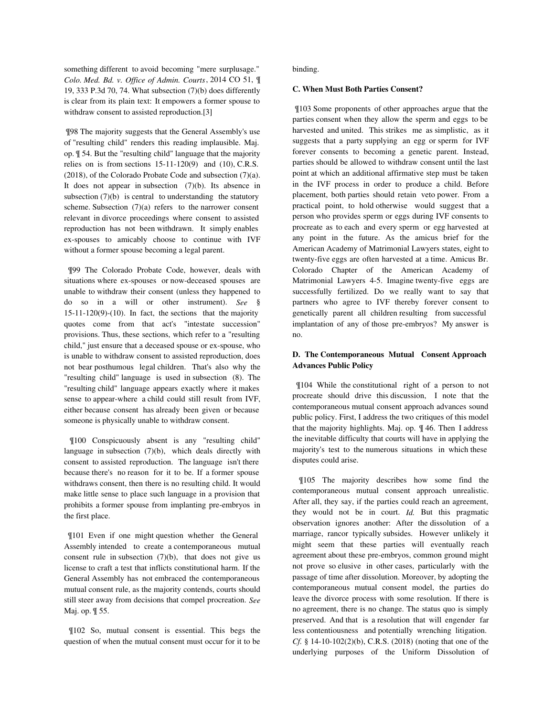something different to avoid becoming "mere surplusage." *Colo. Med. Bd. v. Office of Admin. Courts*, 2014 CO 51, ¶ 19, 333 P.3d 70, 74. What subsection (7)(b) does differently is clear from its plain text: It empowers a former spouse to withdraw consent to assisted reproduction.[3]

 ¶98 The majority suggests that the General Assembly's use of "resulting child" renders this reading implausible. Maj. op. ¶ 54. But the "resulting child" language that the majority relies on is from sections  $15-11-120(9)$  and  $(10)$ , C.R.S. (2018), of the Colorado Probate Code and subsection (7)(a). It does not appear in subsection  $(7)(b)$ . Its absence in subsection  $(7)(b)$  is central to understanding the statutory scheme. Subsection  $(7)(a)$  refers to the narrower consent relevant in divorce proceedings where consent to assisted reproduction has not been withdrawn. It simply enables ex-spouses to amicably choose to continue with IVF without a former spouse becoming a legal parent.

 ¶99 The Colorado Probate Code, however, deals with situations where ex-spouses or now-deceased spouses are unable to withdraw their consent (unless they happened to do so in a will or other instrument). *See* §  $15-11-120(9)-(10)$ . In fact, the sections that the majority quotes come from that act's "intestate succession" provisions. Thus, these sections, which refer to a "resulting child," just ensure that a deceased spouse or ex-spouse, who is unable to withdraw consent to assisted reproduction, does not bear posthumous legal children. That's also why the "resulting child" language is used in subsection (8). The "resulting child" language appears exactly where it makes sense to appear-where a child could still result from IVF, either because consent has already been given or because someone is physically unable to withdraw consent.

 ¶100 Conspicuously absent is any "resulting child" language in subsection (7)(b), which deals directly with consent to assisted reproduction. The language isn't there because there's no reason for it to be. If a former spouse withdraws consent, then there is no resulting child. It would make little sense to place such language in a provision that prohibits a former spouse from implanting pre-embryos in the first place.

 ¶101 Even if one might question whether the General Assembly intended to create a contemporaneous mutual consent rule in subsection  $(7)(b)$ , that does not give us license to craft a test that inflicts constitutional harm. If the General Assembly has not embraced the contemporaneous mutual consent rule, as the majority contends, courts should still steer away from decisions that compel procreation. *See* Maj. op. ¶ 55.

 ¶102 So, mutual consent is essential. This begs the question of when the mutual consent must occur for it to be

binding.

#### **C. When Must Both Parties Consent?**

 ¶103 Some proponents of other approaches argue that the parties consent when they allow the sperm and eggs to be harvested and united. This strikes me as simplistic, as it suggests that a party supplying an egg or sperm for IVF forever consents to becoming a genetic parent. Instead, parties should be allowed to withdraw consent until the last point at which an additional affirmative step must be taken in the IVF process in order to produce a child. Before placement, both parties should retain veto power. From a practical point, to hold otherwise would suggest that a person who provides sperm or eggs during IVF consents to procreate as to each and every sperm or egg harvested at any point in the future. As the amicus brief for the American Academy of Matrimonial Lawyers states, eight to twenty-five eggs are often harvested at a time. Amicus Br. Colorado Chapter of the American Academy of Matrimonial Lawyers 4-5. Imagine twenty-five eggs are successfully fertilized. Do we really want to say that partners who agree to IVF thereby forever consent to genetically parent all children resulting from successful implantation of any of those pre-embryos? My answer is no.

# **D. The Contemporaneous Mutual Consent Approach Advances Public Policy**

 ¶104 While the constitutional right of a person to not procreate should drive this discussion, I note that the contemporaneous mutual consent approach advances sound public policy. First, I address the two critiques of this model that the majority highlights. Maj. op. ¶ 46. Then I address the inevitable difficulty that courts will have in applying the majority's test to the numerous situations in which these disputes could arise.

 ¶105 The majority describes how some find the contemporaneous mutual consent approach unrealistic. After all, they say, if the parties could reach an agreement, they would not be in court. *Id.* But this pragmatic observation ignores another: After the dissolution of a marriage, rancor typically subsides. However unlikely it might seem that these parties will eventually reach agreement about these pre-embryos, common ground might not prove so elusive in other cases, particularly with the passage of time after dissolution. Moreover, by adopting the contemporaneous mutual consent model, the parties do leave the divorce process with some resolution. If there is no agreement, there is no change. The status quo is simply preserved. And that is a resolution that will engender far less contentiousness and potentially wrenching litigation. *Cf.* § 14-10-102(2)(b), C.R.S. (2018) (noting that one of the underlying purposes of the Uniform Dissolution of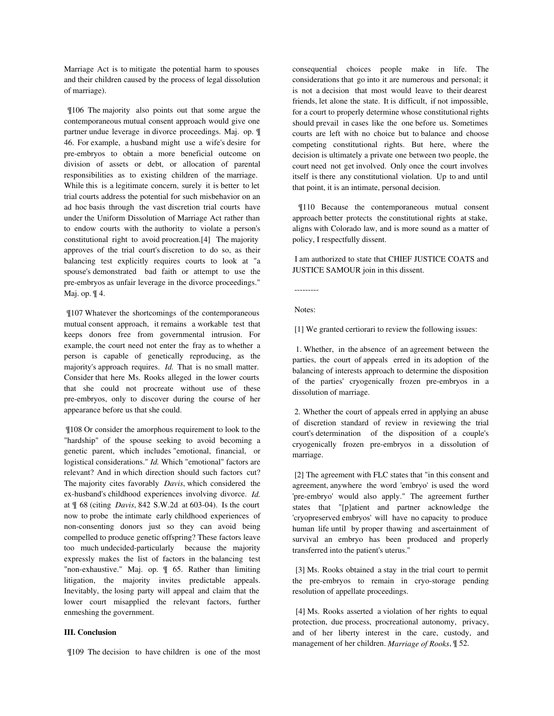Marriage Act is to mitigate the potential harm to spouses and their children caused by the process of legal dissolution of marriage).

 ¶106 The majority also points out that some argue the contemporaneous mutual consent approach would give one partner undue leverage in divorce proceedings. Maj. op. ¶ 46. For example, a husband might use a wife's desire for pre-embryos to obtain a more beneficial outcome on division of assets or debt, or allocation of parental responsibilities as to existing children of the marriage. While this is a legitimate concern, surely it is better to let trial courts address the potential for such misbehavior on an ad hoc basis through the vast discretion trial courts have under the Uniform Dissolution of Marriage Act rather than to endow courts with the authority to violate a person's constitutional right to avoid procreation.[4] The majority approves of the trial court's discretion to do so, as their balancing test explicitly requires courts to look at "a spouse's demonstrated bad faith or attempt to use the pre-embryos as unfair leverage in the divorce proceedings." Maj. op. ¶ 4.

 ¶107 Whatever the shortcomings of the contemporaneous mutual consent approach, it remains a workable test that keeps donors free from governmental intrusion. For example, the court need not enter the fray as to whether a person is capable of genetically reproducing, as the majority's approach requires. *Id.* That is no small matter. Consider that here Ms. Rooks alleged in the lower courts that she could not procreate without use of these pre-embryos, only to discover during the course of her appearance before us that she could.

 ¶108 Or consider the amorphous requirement to look to the "hardship" of the spouse seeking to avoid becoming a genetic parent, which includes "emotional, financial, or logistical considerations." *Id.* Which "emotional" factors are relevant? And in which direction should such factors cut? The majority cites favorably *Davis*, which considered the ex-husband's childhood experiences involving divorce. *Id.* at ¶ 68 (citing *Davis*, 842 S.W.2d at 603-04). Is the court now to probe the intimate early childhood experiences of non-consenting donors just so they can avoid being compelled to produce genetic offspring? These factors leave too much undecided-particularly because the majority expressly makes the list of factors in the balancing test "non-exhaustive." Maj. op. ¶ 65. Rather than limiting litigation, the majority invites predictable appeals. Inevitably, the losing party will appeal and claim that the lower court misapplied the relevant factors, further enmeshing the government.

# **III. Conclusion**

¶109 The decision to have children is one of the most

consequential choices people make in life. The considerations that go into it are numerous and personal; it is not a decision that most would leave to their dearest friends, let alone the state. It is difficult, if not impossible, for a court to properly determine whose constitutional rights should prevail in cases like the one before us. Sometimes courts are left with no choice but to balance and choose competing constitutional rights. But here, where the decision is ultimately a private one between two people, the court need not get involved. Only once the court involves itself is there any constitutional violation. Up to and until that point, it is an intimate, personal decision.

 ¶110 Because the contemporaneous mutual consent approach better protects the constitutional rights at stake, aligns with Colorado law, and is more sound as a matter of policy, I respectfully dissent.

 I am authorized to state that CHIEF JUSTICE COATS and JUSTICE SAMOUR join in this dissent.

---------

Notes:

[1] We granted certiorari to review the following issues:

 1. Whether, in the absence of an agreement between the parties, the court of appeals erred in its adoption of the balancing of interests approach to determine the disposition of the parties' cryogenically frozen pre-embryos in a dissolution of marriage.

 2. Whether the court of appeals erred in applying an abuse of discretion standard of review in reviewing the trial court's determination of the disposition of a couple's cryogenically frozen pre-embryos in a dissolution of marriage.

 [2] The agreement with FLC states that "in this consent and agreement, anywhere the word 'embryo' is used the word 'pre-embryo' would also apply." The agreement further states that "[p]atient and partner acknowledge the 'cryopreserved embryos' will have no capacity to produce human life until by proper thawing and ascertainment of survival an embryo has been produced and properly transferred into the patient's uterus."

 [3] Ms. Rooks obtained a stay in the trial court to permit the pre-embryos to remain in cryo-storage pending resolution of appellate proceedings.

 [4] Ms. Rooks asserted a violation of her rights to equal protection, due process, procreational autonomy, privacy, and of her liberty interest in the care, custody, and management of her children. *Marriage of Rooks*, ¶ 52.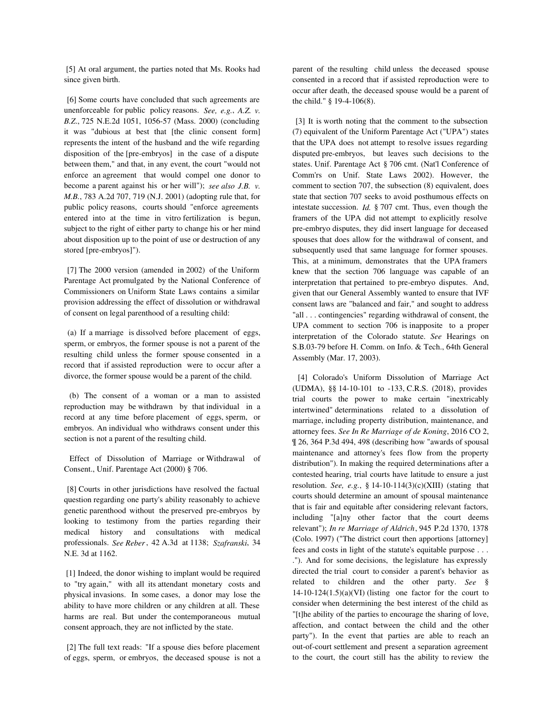[5] At oral argument, the parties noted that Ms. Rooks had since given birth.

 [6] Some courts have concluded that such agreements are unenforceable for public policy reasons. *See, e.g.*, *A.Z. v. B.Z*., 725 N.E.2d 1051, 1056-57 (Mass. 2000) (concluding it was "dubious at best that [the clinic consent form] represents the intent of the husband and the wife regarding disposition of the [pre-embryos] in the case of a dispute between them," and that, in any event, the court "would not enforce an agreement that would compel one donor to become a parent against his or her will"); *see also J.B. v. M.B.*, 783 A.2d 707, 719 (N.J. 2001) (adopting rule that, for public policy reasons, courts should "enforce agreements entered into at the time in vitro fertilization is begun, subject to the right of either party to change his or her mind about disposition up to the point of use or destruction of any stored [pre-embryos]").

 [7] The 2000 version (amended in 2002) of the Uniform Parentage Act promulgated by the National Conference of Commissioners on Uniform State Laws contains a similar provision addressing the effect of dissolution or withdrawal of consent on legal parenthood of a resulting child:

 (a) If a marriage is dissolved before placement of eggs, sperm, or embryos, the former spouse is not a parent of the resulting child unless the former spouse consented in a record that if assisted reproduction were to occur after a divorce, the former spouse would be a parent of the child.

 (b) The consent of a woman or a man to assisted reproduction may be withdrawn by that individual in a record at any time before placement of eggs, sperm, or embryos. An individual who withdraws consent under this section is not a parent of the resulting child.

 Effect of Dissolution of Marriage or Withdrawal of Consent., Unif. Parentage Act (2000) § 706.

 [8] Courts in other jurisdictions have resolved the factual question regarding one party's ability reasonably to achieve genetic parenthood without the preserved pre-embryos by looking to testimony from the parties regarding their medical history and consultations with medical professionals. *See Reber*, 42 A.3d at 1138; *Szafranski*, 34 N.E. 3d at 1162.

 [1] Indeed, the donor wishing to implant would be required to "try again," with all its attendant monetary costs and physical invasions. In some cases, a donor may lose the ability to have more children or any children at all. These harms are real. But under the contemporaneous mutual consent approach, they are not inflicted by the state.

 [2] The full text reads: "If a spouse dies before placement of eggs, sperm, or embryos, the deceased spouse is not a parent of the resulting child unless the deceased spouse consented in a record that if assisted reproduction were to occur after death, the deceased spouse would be a parent of the child." § 19-4-106(8).

 [3] It is worth noting that the comment to the subsection (7) equivalent of the Uniform Parentage Act ("UPA") states that the UPA does not attempt to resolve issues regarding disputed pre-embryos, but leaves such decisions to the states. Unif. Parentage Act § 706 cmt. (Nat'l Conference of Comm'rs on Unif. State Laws 2002). However, the comment to section 707, the subsection (8) equivalent, does state that section 707 seeks to avoid posthumous effects on intestate succession. *Id.* § 707 cmt. Thus, even though the framers of the UPA did not attempt to explicitly resolve pre-embryo disputes, they did insert language for deceased spouses that does allow for the withdrawal of consent, and subsequently used that same language for former spouses. This, at a minimum, demonstrates that the UPA framers knew that the section 706 language was capable of an interpretation that pertained to pre-embryo disputes. And, given that our General Assembly wanted to ensure that IVF consent laws are "balanced and fair," and sought to address "all . . . contingencies" regarding withdrawal of consent, the UPA comment to section 706 is inapposite to a proper interpretation of the Colorado statute. *See* Hearings on S.B.03-79 before H. Comm. on Info. & Tech., 64th General Assembly (Mar. 17, 2003).

 [4] Colorado's Uniform Dissolution of Marriage Act (UDMA), §§ 14-10-101 to -133, C.R.S. (2018), provides trial courts the power to make certain "inextricably intertwined" determinations related to a dissolution of marriage, including property distribution, maintenance, and attorney fees. *See In Re Marriage of de Koning*, 2016 CO 2, ¶ 26, 364 P.3d 494, 498 (describing how "awards of spousal maintenance and attorney's fees flow from the property distribution"). In making the required determinations after a contested hearing, trial courts have latitude to ensure a just resolution. *See, e.g.*, § 14-10-114(3)(c)(XIII) (stating that courts should determine an amount of spousal maintenance that is fair and equitable after considering relevant factors, including "[a]ny other factor that the court deems relevant"); *In re Marriage of Aldrich*, 945 P.2d 1370, 1378 (Colo. 1997) ("The district court then apportions [attorney] fees and costs in light of the statute's equitable purpose . . . ."). And for some decisions, the legislature has expressly directed the trial court to consider a parent's behavior as related to children and the other party. *See* §  $14-10-124(1.5)(a)(VI)$  (listing one factor for the court to consider when determining the best interest of the child as "[t]he ability of the parties to encourage the sharing of love, affection, and contact between the child and the other party"). In the event that parties are able to reach an out-of-court settlement and present a separation agreement to the court, the court still has the ability to review the